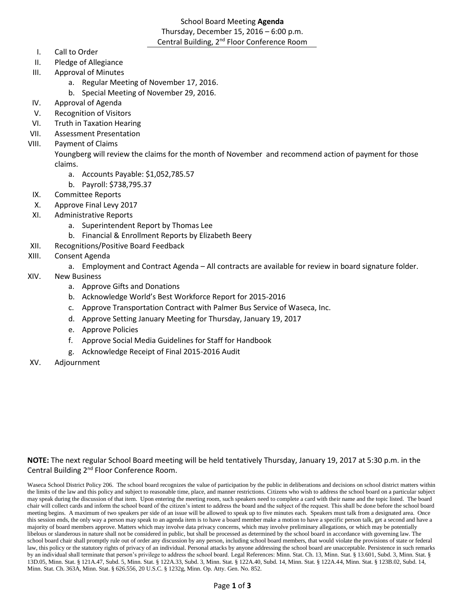# School Board Meeting **Agenda** Thursday, December 15, 2016 – 6:00 p.m. Central Building, 2<sup>nd</sup> Floor Conference Room

- I. Call to Order
- II. Pledge of Allegiance
- III. Approval of Minutes
	- a. Regular Meeting of November 17, 2016.
	- b. Special Meeting of November 29, 2016.
- IV. Approval of Agenda
- V. Recognition of Visitors
- VI. Truth in Taxation Hearing
- VII. Assessment Presentation
- VIII. Payment of Claims

Youngberg will review the claims for the month of November and recommend action of payment for those claims.

- a. Accounts Payable: \$1,052,785.57
- b. Payroll: \$738,795.37
- IX. Committee Reports
- X. Approve Final Levy 2017
- XI. Administrative Reports
	- a. Superintendent Report by Thomas Lee
	- b. Financial & Enrollment Reports by Elizabeth Beery
- XII. Recognitions/Positive Board Feedback
- XIII. Consent Agenda
	- a. Employment and Contract Agenda All contracts are available for review in board signature folder.
- XIV. New Business
	- a. Approve Gifts and Donations
	- b. Acknowledge World's Best Workforce Report for 2015-2016
	- c. Approve Transportation Contract with Palmer Bus Service of Waseca, Inc.
	- d. Approve Setting January Meeting for Thursday, January 19, 2017
	- e. Approve Policies
	- f. Approve Social Media Guidelines for Staff for Handbook
	- g. Acknowledge Receipt of Final 2015-2016 Audit
- XV. Adjournment

# **NOTE:** The next regular School Board meeting will be held tentatively Thursday, January 19, 2017 at 5:30 p.m. in the Central Building 2nd Floor Conference Room.

Waseca School District Policy 206. The school board recognizes the value of participation by the public in deliberations and decisions on school district matters within the limits of the law and this policy and subject to reasonable time, place, and manner restrictions. Citizens who wish to address the school board on a particular subject may speak during the discussion of that item. Upon entering the meeting room, such speakers need to complete a card with their name and the topic listed. The board chair will collect cards and inform the school board of the citizen's intent to address the board and the subject of the request. This shall be done before the school board meeting begins. A maximum of two speakers per side of an issue will be allowed to speak up to five minutes each. Speakers must talk from a designated area. Once this session ends, the only way a person may speak to an agenda item is to have a board member make a motion to have a specific person talk, get a second and have a majority of board members approve. Matters which may involve data privacy concerns, which may involve preliminary allegations, or which may be potentially libelous or slanderous in nature shall not be considered in public, but shall be processed as determined by the school board in accordance with governing law. The school board chair shall promptly rule out of order any discussion by any person, including school board members, that would violate the provisions of state or federal law, this policy or the statutory rights of privacy of an individual. Personal attacks by anyone addressing the school board are unacceptable. Persistence in such remarks by an individual shall terminate that person's privilege to address the school board. Legal References: Minn. Stat. Ch. 13, Minn. Stat. § 13.601, Subd. 3, Minn. Stat. § 13D.05, Minn. Stat. § 121A.47, Subd. 5, Minn. Stat. § 122A.33, Subd. 3, Minn. Stat. § 122A.40, Subd. 14, Minn. Stat. § 122A.44, Minn. Stat. § 123B.02, Subd. 14, Minn. Stat. Ch. 363A, Minn. Stat. § 626.556, 20 U.S.C. § 1232g, Minn. Op. Atty. Gen. No. 852.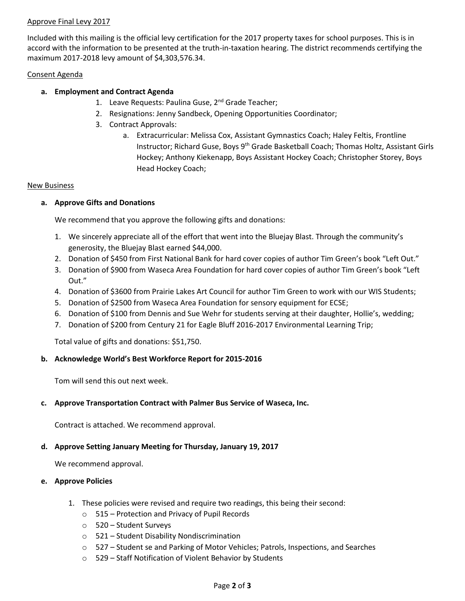## Approve Final Levy 2017

Included with this mailing is the official levy certification for the 2017 property taxes for school purposes. This is in accord with the information to be presented at the truth-in-taxation hearing. The district recommends certifying the maximum 2017-2018 levy amount of \$4,303,576.34.

#### Consent Agenda

## **a. Employment and Contract Agenda**

- 1. Leave Requests: Paulina Guse, 2<sup>nd</sup> Grade Teacher;
- 2. Resignations: Jenny Sandbeck, Opening Opportunities Coordinator;
- 3. Contract Approvals:
	- a. Extracurricular: Melissa Cox, Assistant Gymnastics Coach; Haley Feltis, Frontline Instructor; Richard Guse, Boys 9th Grade Basketball Coach; Thomas Holtz, Assistant Girls Hockey; Anthony Kiekenapp, Boys Assistant Hockey Coach; Christopher Storey, Boys Head Hockey Coach;

#### New Business

## **a. Approve Gifts and Donations**

We recommend that you approve the following gifts and donations:

- 1. We sincerely appreciate all of the effort that went into the Bluejay Blast. Through the community's generosity, the Bluejay Blast earned \$44,000.
- 2. Donation of \$450 from First National Bank for hard cover copies of author Tim Green's book "Left Out."
- 3. Donation of \$900 from Waseca Area Foundation for hard cover copies of author Tim Green's book "Left Out."
- 4. Donation of \$3600 from Prairie Lakes Art Council for author Tim Green to work with our WIS Students;
- 5. Donation of \$2500 from Waseca Area Foundation for sensory equipment for ECSE;
- 6. Donation of \$100 from Dennis and Sue Wehr for students serving at their daughter, Hollie's, wedding;
- 7. Donation of \$200 from Century 21 for Eagle Bluff 2016-2017 Environmental Learning Trip;

Total value of gifts and donations: \$51,750.

## **b. Acknowledge World's Best Workforce Report for 2015-2016**

Tom will send this out next week.

## **c. Approve Transportation Contract with Palmer Bus Service of Waseca, Inc.**

Contract is attached. We recommend approval.

## **d. Approve Setting January Meeting for Thursday, January 19, 2017**

We recommend approval.

## **e. Approve Policies**

- 1. These policies were revised and require two readings, this being their second:
	- o 515 Protection and Privacy of Pupil Records
	- o 520 Student Surveys
	- o 521 Student Disability Nondiscrimination
	- o 527 Student se and Parking of Motor Vehicles; Patrols, Inspections, and Searches
	- o 529 Staff Notification of Violent Behavior by Students